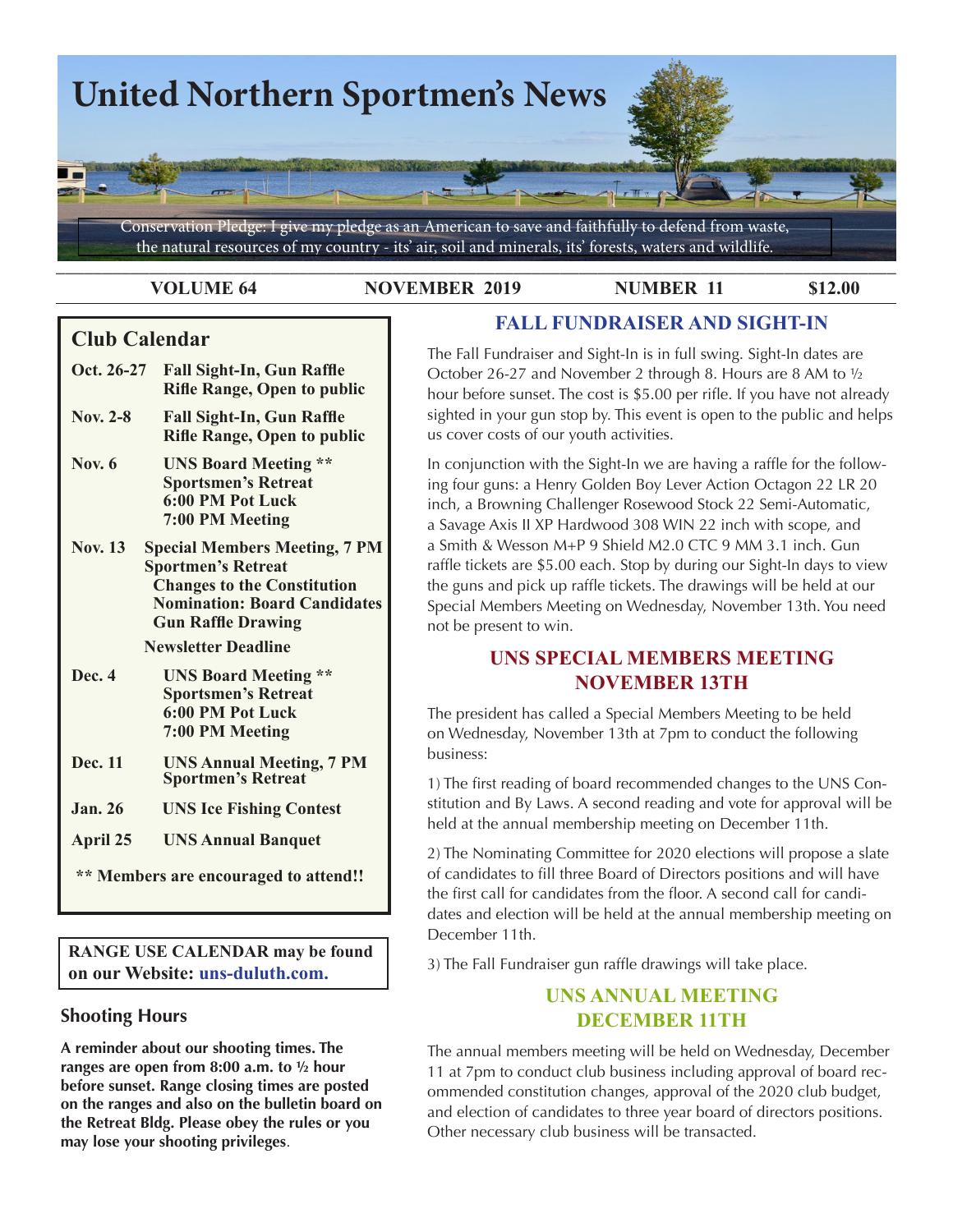

**VOLUME 64 NOVEMBER 2019 NUMBER 11 \$12.00** 

**FALL FUNDRAISER AND SIGHT-IN**

# **Club Calendar**

- **Oct. 26-27 Fall Sight-In, Gun Raffle Rifle Range, Open to public**
- **Nov. 2-8 Fall Sight-In, Gun Raffle Rifle Range, Open to public**
- **Nov. 6 UNS Board Meeting \*\* Sportsmen's Retreat 6:00 PM Pot Luck 7:00 PM Meeting**
- **Nov. 13 Special Members Meeting, 7 PM Sportmen's Retreat Changes to the Constitution Nomination: Board Candidates Gun Raffle Drawing**

 **Newsletter Deadline**

- **Dec. 4 UNS Board Meeting \*\* Sportsmen's Retreat 6:00 PM Pot Luck 7:00 PM Meeting**
- **Dec. 11 UNS Annual Meeting, 7 PM Sportmen's Retreat**
- **Jan. 26 UNS Ice Fishing Contest**
- **April 25 UNS Annual Banquet**

 **\*\* Members are encouraged to attend!!**

**RANGE USE CALENDAR may be found on our Website: uns-duluth.com.**

## **Shooting Hours**

**A reminder about our shooting times. The ranges are open from 8:00 a.m. to ½ hour before sunset. Range closing times are posted on the ranges and also on the bulletin board on the Retreat Bldg. Please obey the rules or you may lose your shooting privileges**.

The Fall Fundraiser and Sight-In is in full swing. Sight-In dates are October 26-27 and November 2 through 8. Hours are 8 AM to ½ hour before sunset. The cost is \$5.00 per rifle. If you have not already sighted in your gun stop by. This event is open to the public and helps us cover costs of our youth activities.

In conjunction with the Sight-In we are having a raffle for the following four guns: a Henry Golden Boy Lever Action Octagon 22 LR 20 inch, a Browning Challenger Rosewood Stock 22 Semi-Automatic, a Savage Axis II XP Hardwood 308 WIN 22 inch with scope, and a Smith & Wesson M+P 9 Shield M2.0 CTC 9 MM 3.1 inch. Gun raffle tickets are \$5.00 each. Stop by during our Sight-In days to view the guns and pick up raffle tickets. The drawings will be held at our Special Members Meeting on Wednesday, November 13th. You need not be present to win.

## **UNS SPECIAL MEMBERS MEETING NOVEMBER 13TH**

The president has called a Special Members Meeting to be held on Wednesday, November 13th at 7pm to conduct the following business:

1) The first reading of board recommended changes to the UNS Constitution and By Laws. A second reading and vote for approval will be held at the annual membership meeting on December 11th.

2) The Nominating Committee for 2020 elections will propose a slate of candidates to fill three Board of Directors positions and will have the first call for candidates from the floor. A second call for candidates and election will be held at the annual membership meeting on December 11th.

3) The Fall Fundraiser gun raffle drawings will take place.

## **UNS ANNUAL MEETING DECEMBER 11TH**

The annual members meeting will be held on Wednesday, December 11 at 7pm to conduct club business including approval of board recommended constitution changes, approval of the 2020 club budget, and election of candidates to three year board of directors positions. Other necessary club business will be transacted.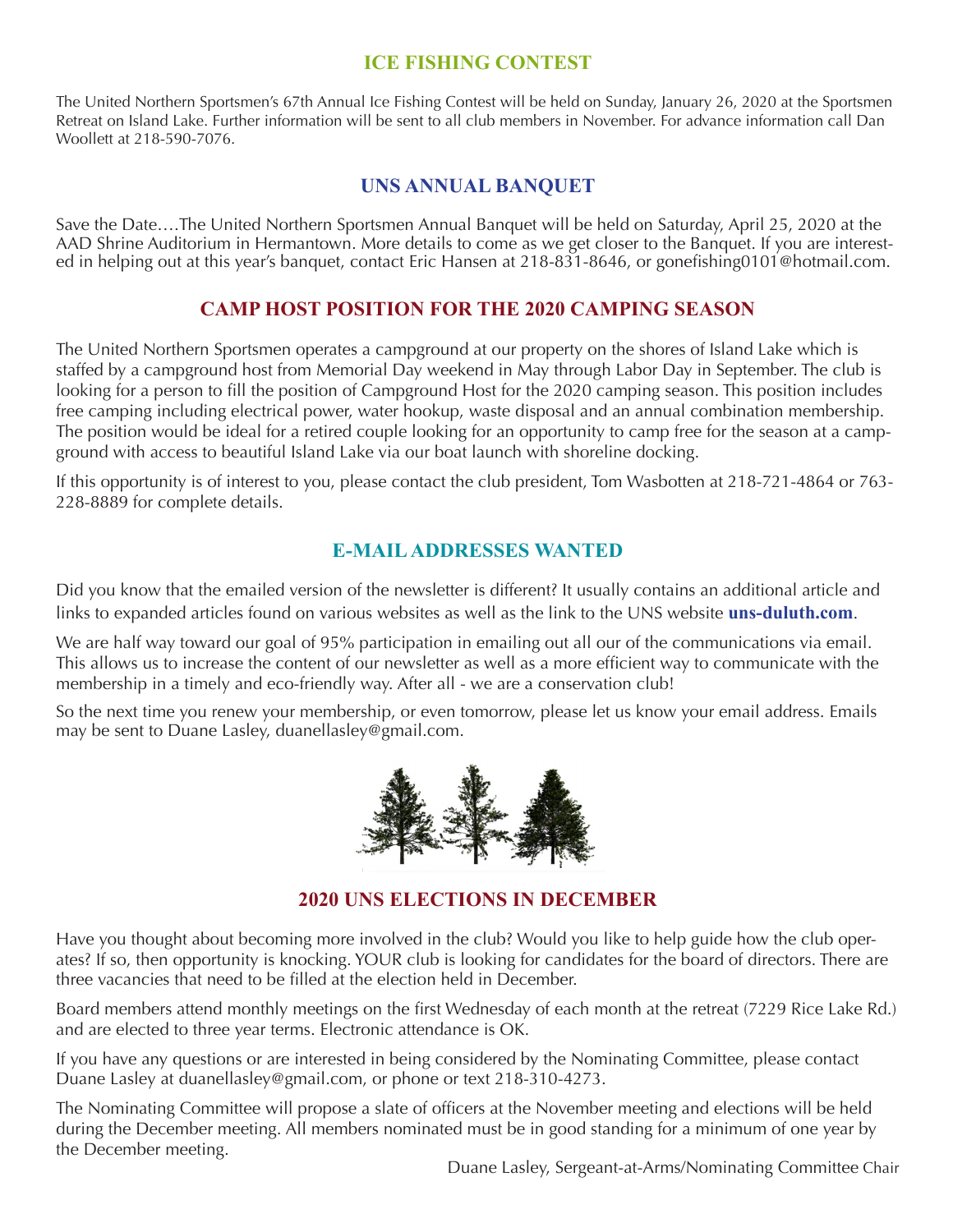## **ICE FISHING CONTEST**

The United Northern Sportsmen's 67th Annual Ice Fishing Contest will be held on Sunday, January 26, 2020 at the Sportsmen Retreat on Island Lake. Further information will be sent to all club members in November. For advance information call Dan Woollett at 218-590-7076.

# **UNS ANNUAL BANQUET**

Save the Date….The United Northern Sportsmen Annual Banquet will be held on Saturday, April 25, 2020 at the AAD Shrine Auditorium in Hermantown. More details to come as we get closer to the Banquet. If you are interested in helping out at this year's banquet, contact Eric Hansen at 218-831-8646, or gonefishing0101@hotmail.com.

## **CAMP HOST POSITION FOR THE 2020 CAMPING SEASON**

The United Northern Sportsmen operates a campground at our property on the shores of Island Lake which is staffed by a campground host from Memorial Day weekend in May through Labor Day in September. The club is looking for a person to fill the position of Campground Host for the 2020 camping season. This position includes free camping including electrical power, water hookup, waste disposal and an annual combination membership. The position would be ideal for a retired couple looking for an opportunity to camp free for the season at a campground with access to beautiful Island Lake via our boat launch with shoreline docking.

If this opportunity is of interest to you, please contact the club president, Tom Wasbotten at 218-721-4864 or 763- 228-8889 for complete details.

## **E-MAIL ADDRESSES WANTED**

Did you know that the emailed version of the newsletter is different? It usually contains an additional article and links to expanded articles found on various websites as well as the link to the UNS website **uns-duluth.com**.

We are half way toward our goal of 95% participation in emailing out all our of the communications via email. This allows us to increase the content of our newsletter as well as a more efficient way to communicate with the membership in a timely and eco-friendly way. After all - we are a conservation club!

So the next time you renew your membership, or even tomorrow, please let us know your email address. Emails may be sent to Duane Lasley, duanellasley@gmail.com.



## **2020 UNS ELECTIONS IN DECEMBER**

Have you thought about becoming more involved in the club? Would you like to help guide how the club operates? If so, then opportunity is knocking. YOUR club is looking for candidates for the board of directors. There are three vacancies that need to be filled at the election held in December.

Board members attend monthly meetings on the first Wednesday of each month at the retreat (7229 Rice Lake Rd.) and are elected to three year terms. Electronic attendance is OK.

If you have any questions or are interested in being considered by the Nominating Committee, please contact Duane Lasley at duanellasley@gmail.com, or phone or text 218-310-4273.

The Nominating Committee will propose a slate of officers at the November meeting and elections will be held during the December meeting. All members nominated must be in good standing for a minimum of one year by the December meeting.

Duane Lasley, Sergeant-at-Arms/Nominating Committee Chair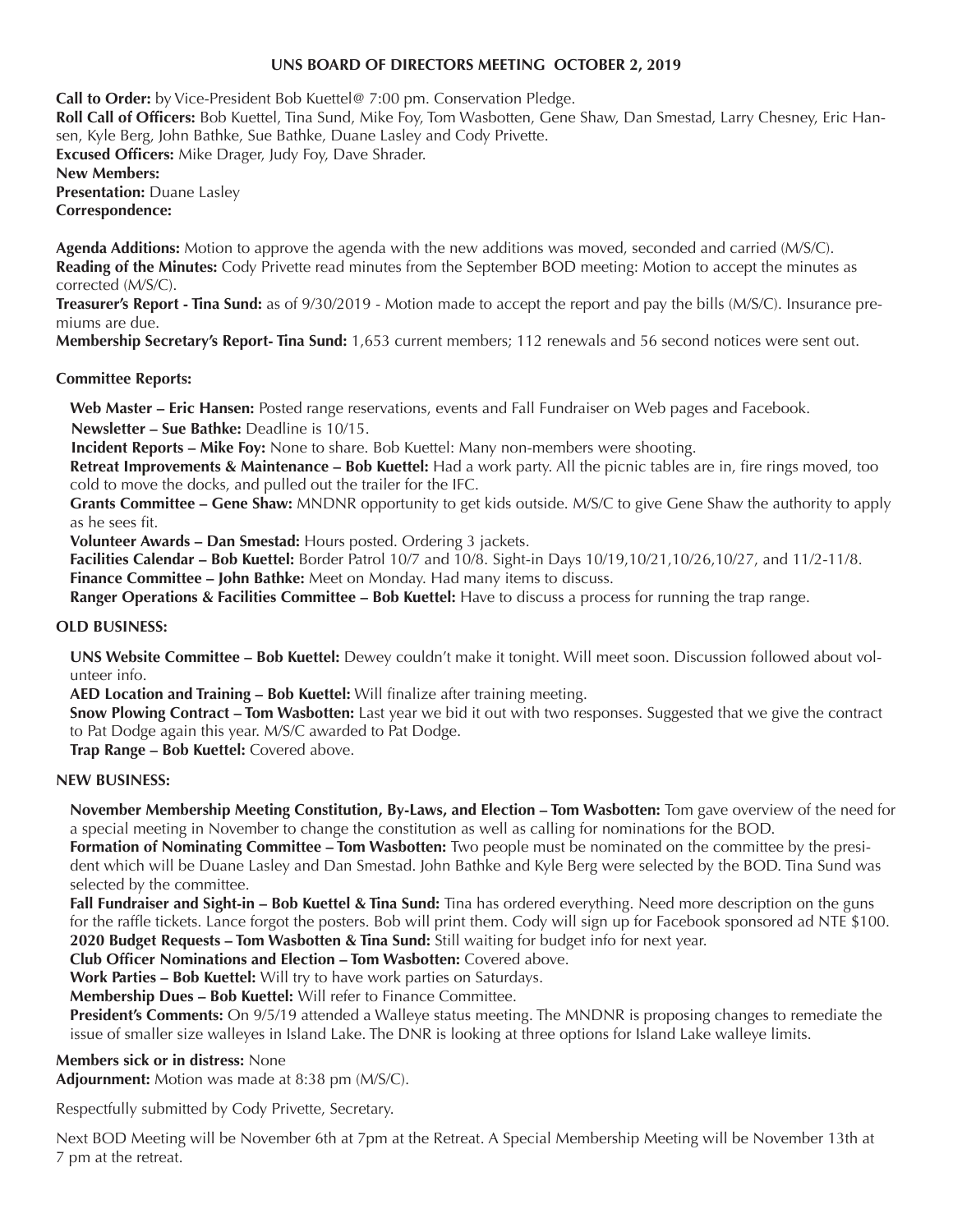## **UNS BOARD OF DIRECTORS MEETING OCTOBER 2, 2019**

**Call to Order:** by Vice-President Bob Kuettel@ 7:00 pm. Conservation Pledge. **Roll Call of Officers:** Bob Kuettel, Tina Sund, Mike Foy, Tom Wasbotten, Gene Shaw, Dan Smestad, Larry Chesney, Eric Hansen, Kyle Berg, John Bathke, Sue Bathke, Duane Lasley and Cody Privette. **Excused Officers:** Mike Drager, Judy Foy, Dave Shrader. **New Members: Presentation:** Duane Lasley **Correspondence:**

**Agenda Additions:** Motion to approve the agenda with the new additions was moved, seconded and carried (M/S/C). **Reading of the Minutes:** Cody Privette read minutes from the September BOD meeting: Motion to accept the minutes as corrected (M/S/C).

**Treasurer's Report - Tina Sund:** as of 9/30/2019 - Motion made to accept the report and pay the bills (M/S/C). Insurance premiums are due.

**Membership Secretary's Report- Tina Sund:** 1,653 current members; 112 renewals and 56 second notices were sent out.

### **Committee Reports:**

**Web Master – Eric Hansen:** Posted range reservations, events and Fall Fundraiser on Web pages and Facebook. **Newsletter – Sue Bathke:** Deadline is 10/15.

**Incident Reports – Mike Foy:** None to share. Bob Kuettel: Many non-members were shooting.

**Retreat Improvements & Maintenance – Bob Kuettel:** Had a work party. All the picnic tables are in, fire rings moved, too cold to move the docks, and pulled out the trailer for the IFC.

**Grants Committee – Gene Shaw:** MNDNR opportunity to get kids outside. M/S/C to give Gene Shaw the authority to apply as he sees fit.

**Volunteer Awards – Dan Smestad:** Hours posted. Ordering 3 jackets.

**Facilities Calendar – Bob Kuettel:** Border Patrol 10/7 and 10/8. Sight-in Days 10/19,10/21,10/26,10/27, and 11/2-11/8.

**Finance Committee – John Bathke:** Meet on Monday. Had many items to discuss.

**Ranger Operations & Facilities Committee – Bob Kuettel:** Have to discuss a process for running the trap range.

### **OLD BUSINESS:**

**UNS Website Committee – Bob Kuettel:** Dewey couldn't make it tonight. Will meet soon. Discussion followed about volunteer info.

**AED Location and Training – Bob Kuettel:** Will finalize after training meeting.

**Snow Plowing Contract – Tom Wasbotten:** Last year we bid it out with two responses. Suggested that we give the contract to Pat Dodge again this year. M/S/C awarded to Pat Dodge.

**Trap Range – Bob Kuettel:** Covered above.

### **NEW BUSINESS:**

**November Membership Meeting Constitution, By-Laws, and Election – Tom Wasbotten:** Tom gave overview of the need for a special meeting in November to change the constitution as well as calling for nominations for the BOD.

**Formation of Nominating Committee – Tom Wasbotten:** Two people must be nominated on the committee by the president which will be Duane Lasley and Dan Smestad. John Bathke and Kyle Berg were selected by the BOD. Tina Sund was selected by the committee.

**Fall Fundraiser and Sight-in – Bob Kuettel & Tina Sund:** Tina has ordered everything. Need more description on the guns for the raffle tickets. Lance forgot the posters. Bob will print them. Cody will sign up for Facebook sponsored ad NTE \$100. **2020 Budget Requests – Tom Wasbotten & Tina Sund:** Still waiting for budget info for next year.

**Club Officer Nominations and Election – Tom Wasbotten:** Covered above.

**Work Parties – Bob Kuettel:** Will try to have work parties on Saturdays.

**Membership Dues – Bob Kuettel:** Will refer to Finance Committee.

**President's Comments:** On 9/5/19 attended a Walleye status meeting. The MNDNR is proposing changes to remediate the issue of smaller size walleyes in Island Lake. The DNR is looking at three options for Island Lake walleye limits.

### **Members sick or in distress:** None

**Adjournment:** Motion was made at 8:38 pm (M/S/C).

Respectfully submitted by Cody Privette, Secretary.

Next BOD Meeting will be November 6th at 7pm at the Retreat. A Special Membership Meeting will be November 13th at 7 pm at the retreat.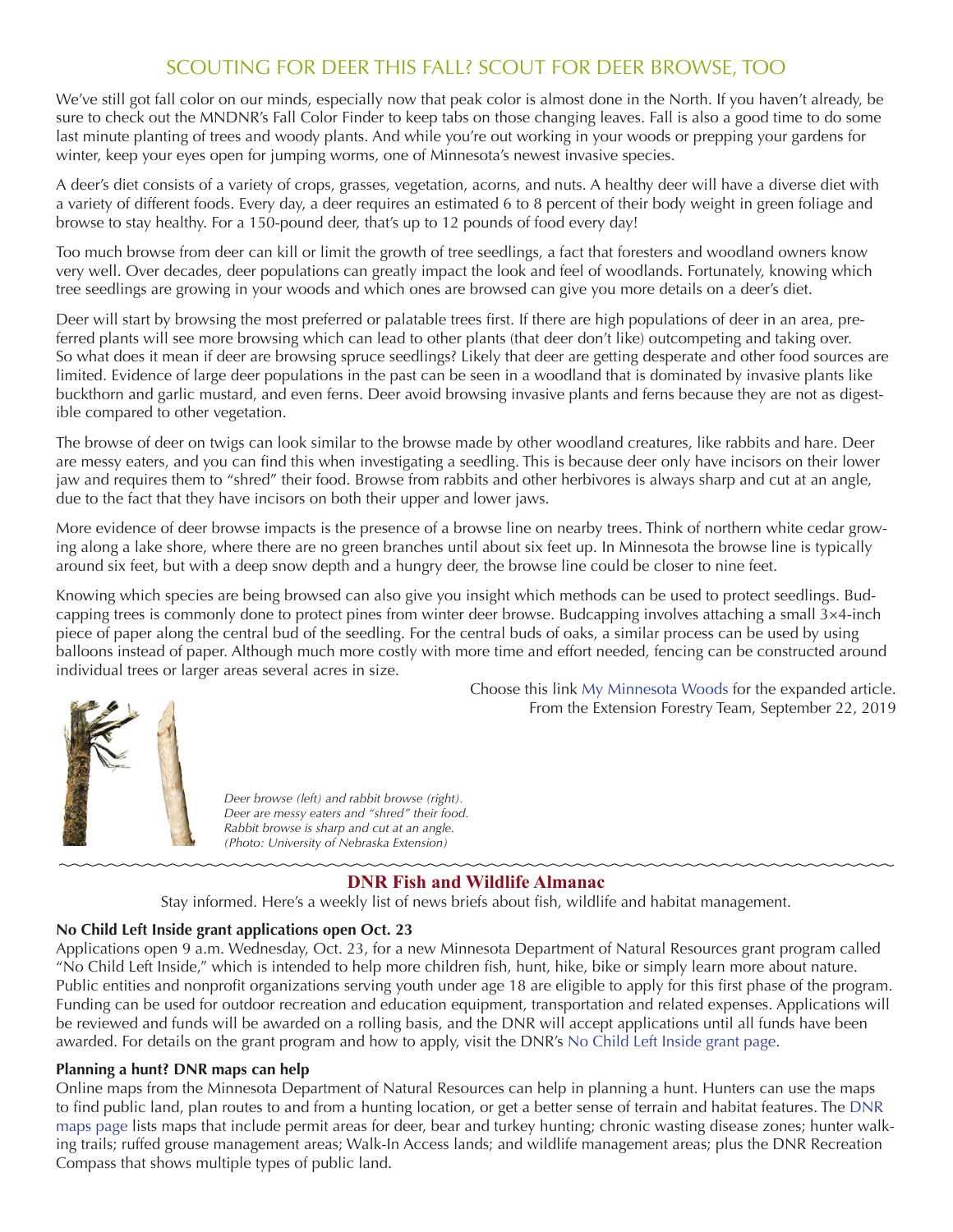# SCOUTING FOR DEER THIS FALL? SCOUT FOR DEER BROWSE, TOO

We've still got fall color on our minds, especially now that peak color is almost done in the North. If you haven't already, be sure to check out the MNDNR's Fall Color Finder to keep tabs on those changing leaves. Fall is also a good time to do some last minute planting of trees and woody plants. And while you're out working in your woods or prepping your gardens for winter, keep your eyes open for jumping worms, one of Minnesota's newest invasive species.

A deer's diet consists of a variety of crops, grasses, vegetation, acorns, and nuts. A healthy deer will have a diverse diet with a variety of different foods. Every day, a deer requires an estimated 6 to 8 percent of their body weight in green foliage and browse to stay healthy. For a 150-pound deer, that's up to 12 pounds of food every day!

Too much browse from deer can kill or limit the growth of tree seedlings, a fact that foresters and woodland owners know very well. Over decades, deer populations can greatly impact the look and feel of woodlands. Fortunately, knowing which tree seedlings are growing in your woods and which ones are browsed can give you more details on a deer's diet.

Deer will start by browsing the most preferred or palatable trees first. If there are high populations of deer in an area, preferred plants will see more browsing which can lead to other plants (that deer don't like) outcompeting and taking over. So what does it mean if deer are browsing spruce seedlings? Likely that deer are getting desperate and other food sources are limited. Evidence of large deer populations in the past can be seen in a woodland that is dominated by invasive plants like buckthorn and garlic mustard, and even ferns. Deer avoid browsing invasive plants and ferns because they are not as digestible compared to other vegetation.

The browse of deer on twigs can look similar to the browse made by other woodland creatures, like rabbits and hare. Deer are messy eaters, and you can find this when investigating a seedling. This is because deer only have incisors on their lower jaw and requires them to "shred" their food. Browse from rabbits and other herbivores is always sharp and cut at an angle, due to the fact that they have incisors on both their upper and lower jaws.

More evidence of deer browse impacts is the presence of a browse line on nearby trees. Think of northern white cedar growing along a lake shore, where there are no green branches until about six feet up. In Minnesota the browse line is typically around six feet, but with a deep snow depth and a hungry deer, the browse line could be closer to nine feet.

Knowing which species are being browsed can also give you insight which methods can be used to protect seedlings. Budcapping trees is commonly done to protect pines from winter deer browse. Budcapping involves attaching a small 3×4-inch piece of paper along the central bud of the seedling. For the central buds of oaks, a similar process can be used by using balloons instead of paper. Although much more costly with more time and effort needed, fencing can be constructed around individual trees or larger areas several acres in size.

Choose this link [My Minnesota Woods](http://www.myminnesotawoods.umn.edu/) for the expanded article.

From the Extension Forestry Team, September 22, 2019



 *Deer browse (left) and rabbit browse (right). Deer are messy eaters and "shred" their food.* 

 *Rabbit browse is sharp and cut at an angle. (Photo: University of Nebraska Extension)*

## **DNR Fish and Wildlife Almanac**

Stay informed. Here's a weekly list of news briefs about fish, wildlife and habitat management.

## **No Child Left Inside grant applications open Oct. 23**

Applications open 9 a.m. Wednesday, Oct. 23, for a new Minnesota Department of Natural Resources grant program called "No Child Left Inside," which is intended to help more children fish, hunt, hike, bike or simply learn more about nature. Public entities and nonprofit organizations serving youth under age 18 are eligible to apply for this first phase of the program. Funding can be used for outdoor recreation and education equipment, transportation and related expenses. Applications will be reviewed and funds will be awarded on a rolling basis, and the DNR will accept applications until all funds have been awarded. For details on the grant program and how to apply, visit the DNR's [No Child Left Inside grant page](https://www.dnr.state.mn.us/no-child-grants/index.html).

### **Planning a hunt? DNR maps can help**

Online maps from the Minnesota Department of Natural Resources can help in planning a hunt. Hunters can use the maps to find public land, plan routes to and from a hunting location, or get a better sense of terrain and habitat features. The [DNR](https://www.dnr.state.mn.us/maps/index.html)  [maps page](https://www.dnr.state.mn.us/maps/index.html) lists maps that include permit areas for deer, bear and turkey hunting; chronic wasting disease zones; hunter walking trails; ruffed grouse management areas; Walk-In Access lands; and wildlife management areas; plus the DNR Recreation Compass that shows multiple types of public land.